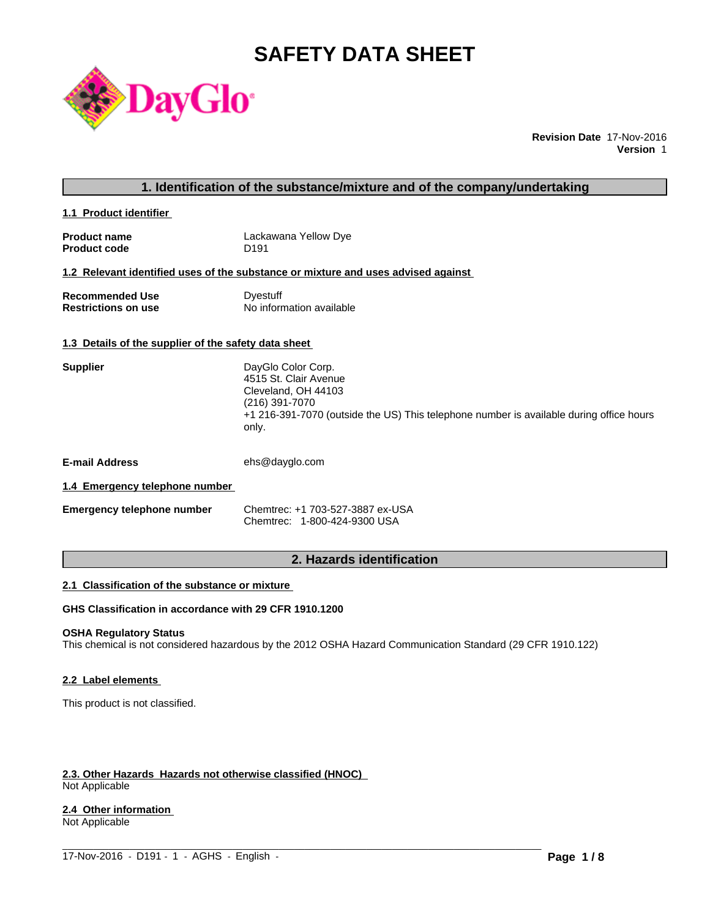# **SAFETY DATA SHEET**



**Revision Date** 17-Nov-2016 **Version** 1

# **1. Identification of the substance/mixture and of the company/undertaking**

**1.1 Product identifier** 

| <b>Product name</b> | Lackawana Yellow Dye |
|---------------------|----------------------|
| <b>Product code</b> | D <sub>191</sub>     |

#### **1.2 Relevant identified uses of the substance or mixture and uses advised against**

**Recommended Use Commended Use Commended Use Comments** Dyestuff Restrictions on use **No information available** 

#### **1.3 Details of the supplier of the safety data sheet**

| <b>Supplier</b> | DayGlo Color Corp.                                                                      |
|-----------------|-----------------------------------------------------------------------------------------|
|                 | 4515 St. Clair Avenue                                                                   |
|                 | Cleveland, OH 44103                                                                     |
|                 | (216) 391-7070                                                                          |
|                 | +1 216-391-7070 (outside the US) This telephone number is available during office hours |
|                 | only.                                                                                   |
|                 |                                                                                         |
|                 |                                                                                         |

**E-mail Address** ehs@dayglo.com

#### **1.4 Emergency telephone number**

| Emergency telephone number | Chemtrec: +1 703-527-3887 ex-USA |
|----------------------------|----------------------------------|
|                            | Chemtrec: 1-800-424-9300 USA     |

# **2. Hazards identification**

### **2.1 Classification of the substance or mixture**

# **GHS Classification in accordance with 29 CFR 1910.1200**

#### **OSHA Regulatory Status**

This chemical is not considered hazardous by the 2012 OSHA Hazard Communication Standard (29 CFR 1910.122)

 $\_$  ,  $\_$  ,  $\_$  ,  $\_$  ,  $\_$  ,  $\_$  ,  $\_$  ,  $\_$  ,  $\_$  ,  $\_$  ,  $\_$  ,  $\_$  ,  $\_$  ,  $\_$  ,  $\_$  ,  $\_$  ,  $\_$  ,  $\_$  ,  $\_$  ,  $\_$  ,  $\_$  ,  $\_$  ,  $\_$  ,  $\_$  ,  $\_$  ,  $\_$  ,  $\_$  ,  $\_$  ,  $\_$  ,  $\_$  ,  $\_$  ,  $\_$  ,  $\_$  ,  $\_$  ,  $\_$  ,  $\_$  ,  $\_$  ,

# **2.2 Label elements**

This product is not classified.

#### **2.3. Other Hazards Hazards not otherwise classified (HNOC)**  Not Applicable

#### **2.4 Other information**

Not Applicable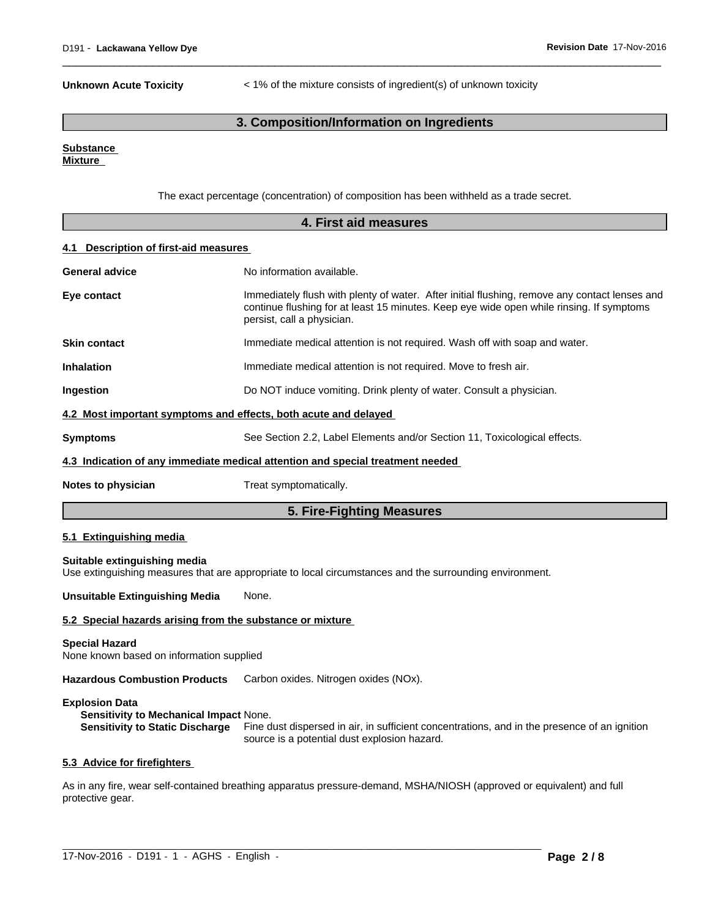**Unknown Acute Toxicity** < 1% of the mixture consists of ingredient(s) of unknown toxicity

 $\overline{\phantom{a}}$  ,  $\overline{\phantom{a}}$  ,  $\overline{\phantom{a}}$  ,  $\overline{\phantom{a}}$  ,  $\overline{\phantom{a}}$  ,  $\overline{\phantom{a}}$  ,  $\overline{\phantom{a}}$  ,  $\overline{\phantom{a}}$  ,  $\overline{\phantom{a}}$  ,  $\overline{\phantom{a}}$  ,  $\overline{\phantom{a}}$  ,  $\overline{\phantom{a}}$  ,  $\overline{\phantom{a}}$  ,  $\overline{\phantom{a}}$  ,  $\overline{\phantom{a}}$  ,  $\overline{\phantom{a}}$ 

# **3. Composition/Information on Ingredients**

## **Substance**

**Mixture** 

The exact percentage (concentration) of composition has been withheld as a trade secret.

| 4. First aid measures                           |                                                                                                                                                                                                                         |  |
|-------------------------------------------------|-------------------------------------------------------------------------------------------------------------------------------------------------------------------------------------------------------------------------|--|
| <b>Description of first-aid measures</b><br>4.1 |                                                                                                                                                                                                                         |  |
| <b>General advice</b>                           | No information available.                                                                                                                                                                                               |  |
| Eye contact                                     | Immediately flush with plenty of water. After initial flushing, remove any contact lenses and<br>continue flushing for at least 15 minutes. Keep eye wide open while rinsing. If symptoms<br>persist, call a physician. |  |
| <b>Skin contact</b>                             | Immediate medical attention is not required. Wash off with soap and water.                                                                                                                                              |  |
| <b>Inhalation</b>                               | Immediate medical attention is not required. Move to fresh air.                                                                                                                                                         |  |
| Ingestion                                       | Do NOT induce vomiting. Drink plenty of water. Consult a physician.                                                                                                                                                     |  |
|                                                 | 4.2 Most important symptoms and effects, both acute and delayed                                                                                                                                                         |  |
| <b>Symptoms</b>                                 | See Section 2.2, Label Elements and/or Section 11, Toxicological effects.                                                                                                                                               |  |
|                                                 | 4.3 Indication of any immediate medical attention and special treatment needed                                                                                                                                          |  |
| Notes to physician                              | Treat symptomatically.                                                                                                                                                                                                  |  |
|                                                 | 5. Fire-Fighting Measures                                                                                                                                                                                               |  |
| 5.1 Extinguishing media                         |                                                                                                                                                                                                                         |  |
| Suitable extinguishing media                    | Use extinguishing measures that are appropriate to local circumstances and the surrounding environment.                                                                                                                 |  |

**Unsuitable Extinguishing Media** None.

#### **5.2 Special hazards arising from the substance or mixture**

#### **Special Hazard**

None known based on information supplied

**Hazardous Combustion Products** Carbon oxides. Nitrogen oxides (NOx).

#### **Explosion Data**

**Sensitivity to Mechanical Impact None.**<br>**Sensitivity to Static Discharge** Fine d Fine dust dispersed in air, in sufficient concentrations, and in the presence of an ignition source is a potential dust explosion hazard.

#### **5.3 Advice for firefighters**

As in any fire, wear self-contained breathing apparatus pressure-demand, MSHA/NIOSH (approved or equivalent) and full protective gear.

 $\_$  ,  $\_$  ,  $\_$  ,  $\_$  ,  $\_$  ,  $\_$  ,  $\_$  ,  $\_$  ,  $\_$  ,  $\_$  ,  $\_$  ,  $\_$  ,  $\_$  ,  $\_$  ,  $\_$  ,  $\_$  ,  $\_$  ,  $\_$  ,  $\_$  ,  $\_$  ,  $\_$  ,  $\_$  ,  $\_$  ,  $\_$  ,  $\_$  ,  $\_$  ,  $\_$  ,  $\_$  ,  $\_$  ,  $\_$  ,  $\_$  ,  $\_$  ,  $\_$  ,  $\_$  ,  $\_$  ,  $\_$  ,  $\_$  ,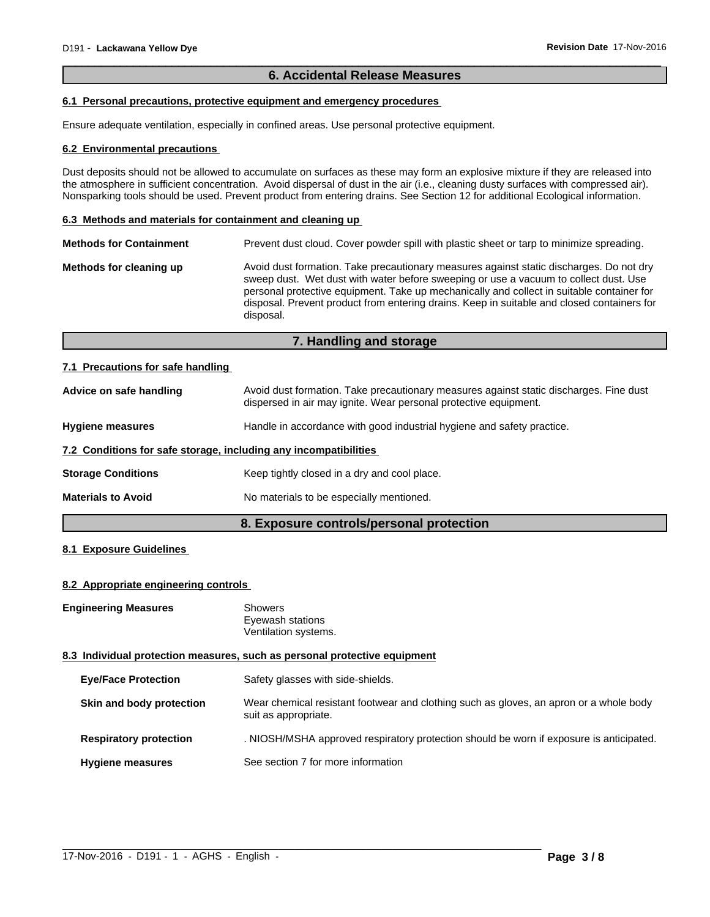### **6. Accidental Release Measures**

 $\overline{\phantom{a}}$  ,  $\overline{\phantom{a}}$  ,  $\overline{\phantom{a}}$  ,  $\overline{\phantom{a}}$  ,  $\overline{\phantom{a}}$  ,  $\overline{\phantom{a}}$  ,  $\overline{\phantom{a}}$  ,  $\overline{\phantom{a}}$  ,  $\overline{\phantom{a}}$  ,  $\overline{\phantom{a}}$  ,  $\overline{\phantom{a}}$  ,  $\overline{\phantom{a}}$  ,  $\overline{\phantom{a}}$  ,  $\overline{\phantom{a}}$  ,  $\overline{\phantom{a}}$  ,  $\overline{\phantom{a}}$ 

# **6.1 Personal precautions, protective equipment and emergency procedures**

Ensure adequate ventilation, especially in confined areas. Use personal protective equipment.

#### **6.2 Environmental precautions**

Dust deposits should not be allowed to accumulate on surfaces as these may form an explosive mixture if they are released into the atmosphere in sufficient concentration. Avoid dispersal of dust in the air (i.e., cleaning dusty surfaces with compressed air). Nonsparking tools should be used. Prevent product from entering drains. See Section 12 for additional Ecological information.

#### **6.3 Methods and materials for containment and cleaning up**

| <b>Methods for Containment</b> | Prevent dust cloud. Cover powder spill with plastic sheet or tarp to minimize spreading.                                                                                                                                                                                                                                                                                                |
|--------------------------------|-----------------------------------------------------------------------------------------------------------------------------------------------------------------------------------------------------------------------------------------------------------------------------------------------------------------------------------------------------------------------------------------|
| Methods for cleaning up        | Avoid dust formation. Take precautionary measures against static discharges. Do not dry<br>sweep dust. Wet dust with water before sweeping or use a vacuum to collect dust. Use<br>personal protective equipment. Take up mechanically and collect in suitable container for<br>disposal. Prevent product from entering drains. Keep in suitable and closed containers for<br>disposal. |

# **7. Handling and storage**

#### **7.1 Precautions for safe handling**

| Advice on safe handling                                          | Avoid dust formation. Take precautionary measures against static discharges. Fine dust<br>dispersed in air may ignite. Wear personal protective equipment. |
|------------------------------------------------------------------|------------------------------------------------------------------------------------------------------------------------------------------------------------|
| <b>Hygiene measures</b>                                          | Handle in accordance with good industrial hygiene and safety practice.                                                                                     |
| 7.2 Conditions for safe storage, including any incompatibilities |                                                                                                                                                            |
| <b>Storage Conditions</b>                                        | Keep tightly closed in a dry and cool place.                                                                                                               |
| <b>Materials to Avoid</b>                                        | No materials to be especially mentioned.                                                                                                                   |

# **8. Exposure controls/personal protection**

# **8.1 Exposure Guidelines**

#### **8.2 Appropriate engineering controls**

| <b>Engineering Measures</b>   | <b>Showers</b><br>Eyewash stations<br>Ventilation systems.                                                     |
|-------------------------------|----------------------------------------------------------------------------------------------------------------|
|                               | 8.3 Individual protection measures, such as personal protective equipment                                      |
| <b>Eye/Face Protection</b>    | Safety glasses with side-shields.                                                                              |
| Skin and body protection      | Wear chemical resistant footwear and clothing such as gloves, an apron or a whole body<br>suit as appropriate. |
| <b>Respiratory protection</b> | . NIOSH/MSHA approved respiratory protection should be worn if exposure is anticipated.                        |
| <b>Hygiene measures</b>       | See section 7 for more information                                                                             |

 $\_$  ,  $\_$  ,  $\_$  ,  $\_$  ,  $\_$  ,  $\_$  ,  $\_$  ,  $\_$  ,  $\_$  ,  $\_$  ,  $\_$  ,  $\_$  ,  $\_$  ,  $\_$  ,  $\_$  ,  $\_$  ,  $\_$  ,  $\_$  ,  $\_$  ,  $\_$  ,  $\_$  ,  $\_$  ,  $\_$  ,  $\_$  ,  $\_$  ,  $\_$  ,  $\_$  ,  $\_$  ,  $\_$  ,  $\_$  ,  $\_$  ,  $\_$  ,  $\_$  ,  $\_$  ,  $\_$  ,  $\_$  ,  $\_$  ,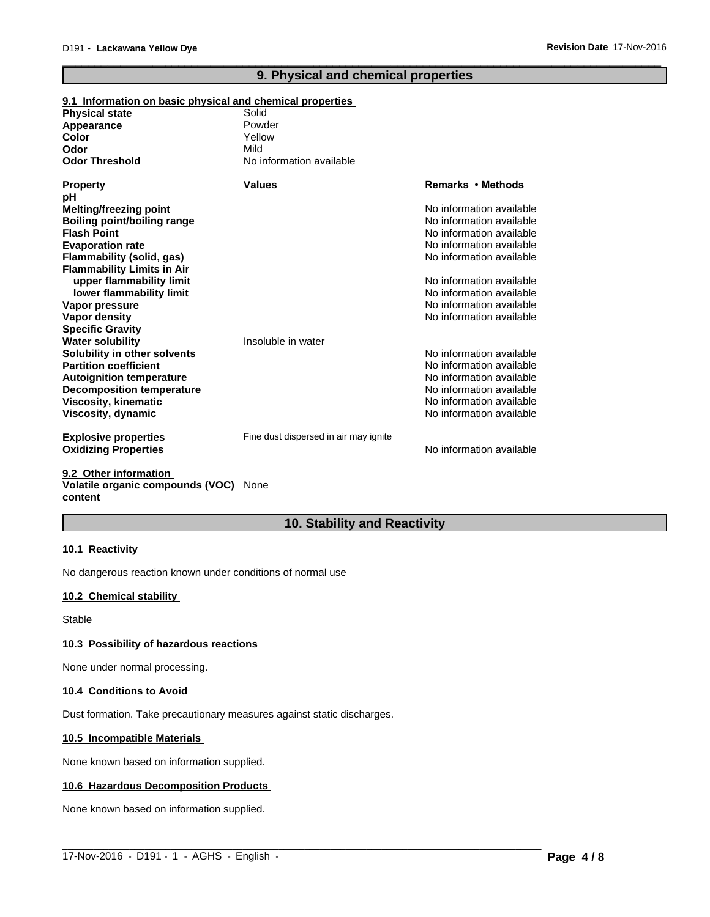# **9. Physical and chemical properties**

 $\overline{\phantom{a}}$  ,  $\overline{\phantom{a}}$  ,  $\overline{\phantom{a}}$  ,  $\overline{\phantom{a}}$  ,  $\overline{\phantom{a}}$  ,  $\overline{\phantom{a}}$  ,  $\overline{\phantom{a}}$  ,  $\overline{\phantom{a}}$  ,  $\overline{\phantom{a}}$  ,  $\overline{\phantom{a}}$  ,  $\overline{\phantom{a}}$  ,  $\overline{\phantom{a}}$  ,  $\overline{\phantom{a}}$  ,  $\overline{\phantom{a}}$  ,  $\overline{\phantom{a}}$  ,  $\overline{\phantom{a}}$ 

#### **9.1 Information on basic physical and chemical properties Physical state** No information available **Decomposition temperature** No information available No information available **Odor Threshold** No information available **Viscosity, kinematic Flash Point** No information available **Viscosity, dynamic Color** No information available No information available Yellow **Explosive properties** Fine dust dispersed in air may ignite **Evaporation rate Oxidizing Properties No information available No information available** No information available **Flammability (solid, gas) Appearance** No information available **Flammability Limits in Air Property Values upper flammability limit**<br> **lower flammability limit**<br> **lower flammability limit**<br> **lower flammability limit Remarks•Methods lower flammability limit Odor Vapor pressure pH** No information available Mild **Vapor density No information available No information available Specific Gravity** Powder **Melting/freezing point Water solubility Insoluble in water Solubility in other solvents** No information available No information available **Partition coefficient** Noire and Noire and Noire and Noire and Noire and Noire and Noire and Noire and Noire and Noire and Noire and Noire and Noire and Noire and Noire and Noire and Noire and Noire and Noire and Noire an **Boiling point/boiling range Autoignition temperature**

#### **9.2 Other information Volatile organic compounds (VOC)** None **content**

# **10. Stability and Reactivity**

 $\_$  ,  $\_$  ,  $\_$  ,  $\_$  ,  $\_$  ,  $\_$  ,  $\_$  ,  $\_$  ,  $\_$  ,  $\_$  ,  $\_$  ,  $\_$  ,  $\_$  ,  $\_$  ,  $\_$  ,  $\_$  ,  $\_$  ,  $\_$  ,  $\_$  ,  $\_$  ,  $\_$  ,  $\_$  ,  $\_$  ,  $\_$  ,  $\_$  ,  $\_$  ,  $\_$  ,  $\_$  ,  $\_$  ,  $\_$  ,  $\_$  ,  $\_$  ,  $\_$  ,  $\_$  ,  $\_$  ,  $\_$  ,  $\_$  ,

#### **10.1 Reactivity**

No dangerous reaction known under conditions of normal use

### **10.2 Chemical stability**

Stable

#### **10.3 Possibility of hazardous reactions**

None under normal processing.

#### **10.4 Conditions to Avoid**

Dust formation. Take precautionary measures against static discharges.

### **10.5 Incompatible Materials**

None known based on information supplied.

#### **10.6 Hazardous Decomposition Products**

None known based on information supplied.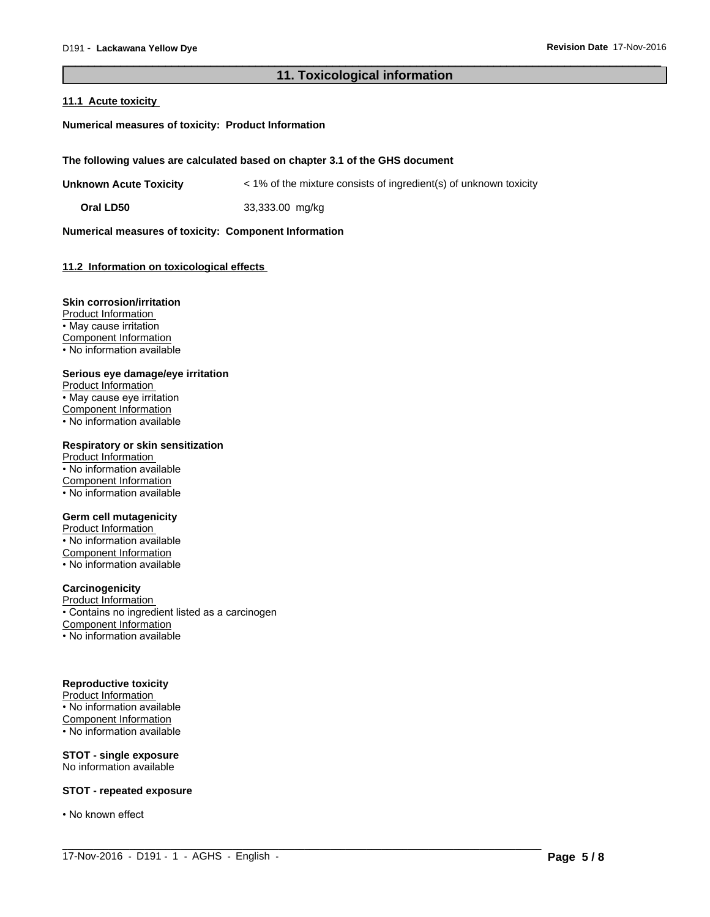# **11. Toxicological information**

 $\_$  ,  $\_$  ,  $\_$  ,  $\_$  ,  $\_$  ,  $\_$  ,  $\_$  ,  $\_$  ,  $\_$  ,  $\_$  ,  $\_$  ,  $\_$  ,  $\_$  ,  $\_$  ,  $\_$  ,  $\_$  ,  $\_$  ,  $\_$  ,  $\_$  ,  $\_$  ,  $\_$  ,  $\_$  ,  $\_$  ,  $\_$  ,  $\_$  ,  $\_$  ,  $\_$  ,  $\_$  ,  $\_$  ,  $\_$  ,  $\_$  ,  $\_$  ,  $\_$  ,  $\_$  ,  $\_$  ,  $\_$  ,  $\_$  ,

 $\overline{\phantom{a}}$  ,  $\overline{\phantom{a}}$  ,  $\overline{\phantom{a}}$  ,  $\overline{\phantom{a}}$  ,  $\overline{\phantom{a}}$  ,  $\overline{\phantom{a}}$  ,  $\overline{\phantom{a}}$  ,  $\overline{\phantom{a}}$  ,  $\overline{\phantom{a}}$  ,  $\overline{\phantom{a}}$  ,  $\overline{\phantom{a}}$  ,  $\overline{\phantom{a}}$  ,  $\overline{\phantom{a}}$  ,  $\overline{\phantom{a}}$  ,  $\overline{\phantom{a}}$  ,  $\overline{\phantom{a}}$ 

#### **11.1 Acute toxicity**

**Numerical measures of toxicity: Product Information**

**The following values are calculated based on chapter 3.1 of the GHS document**

**Unknown Acute Toxicity** < 1% of the mixture consists of ingredient(s) of unknown toxicity

**Oral LD50** 33,333.00 mg/kg

**Numerical measures of toxicity: Component Information**

# **11.2 Information on toxicological effects**

#### **Skin corrosion/irritation**

Product Information • May cause irritation Component Information • No information available

#### **Serious eye damage/eye irritation**

Product Information • May cause eye irritation Component Information • No information available

# **Respiratory or skin sensitization**

Product Information • No information available Component Information • No information available

# **Germ cell mutagenicity**

Product Information • No information available Component Information • No information available

## **Carcinogenicity**

Product Information • Contains no ingredient listed as a carcinogen Component Information • No information available

#### **Reproductive toxicity**

Product Information • No information available Component Information • No information available

#### **STOT - single exposure** No information available

#### **STOT - repeated exposure**

• No known effect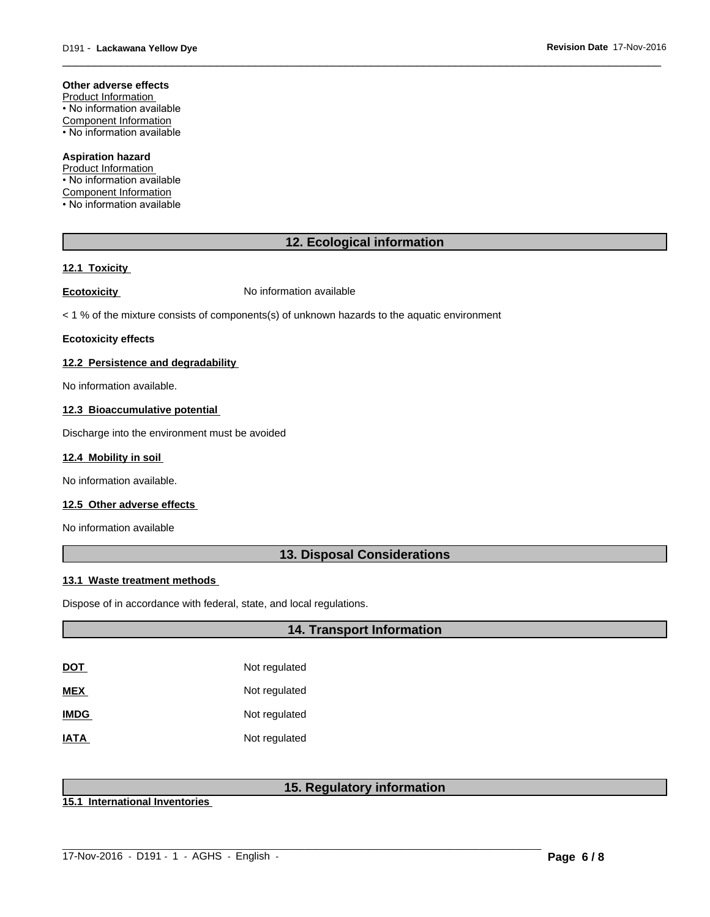#### **Other adverse effects**

Product Information • No information available Component Information • No information available

### **Aspiration hazard**

Product Information • No information available Component Information • No information available

# **12. Ecological information**

 $\overline{\phantom{a}}$  ,  $\overline{\phantom{a}}$  ,  $\overline{\phantom{a}}$  ,  $\overline{\phantom{a}}$  ,  $\overline{\phantom{a}}$  ,  $\overline{\phantom{a}}$  ,  $\overline{\phantom{a}}$  ,  $\overline{\phantom{a}}$  ,  $\overline{\phantom{a}}$  ,  $\overline{\phantom{a}}$  ,  $\overline{\phantom{a}}$  ,  $\overline{\phantom{a}}$  ,  $\overline{\phantom{a}}$  ,  $\overline{\phantom{a}}$  ,  $\overline{\phantom{a}}$  ,  $\overline{\phantom{a}}$ 

#### **12.1 Toxicity**

**Ecotoxicity No information available** 

< 1 % of the mixture consists of components(s) of unknown hazards to the aquatic environment

#### **Ecotoxicity effects**

### **12.2 Persistence and degradability**

No information available.

#### **12.3 Bioaccumulative potential**

Discharge into the environment must be avoided

#### **12.4 Mobility in soil**

No information available.

#### **12.5 Other adverse effects**

No information available

# **13. Disposal Considerations**

#### **13.1 Waste treatment methods**

Dispose of in accordance with federal, state, and local regulations.

# **14. Transport Information**

| DOT         | Not regulated |
|-------------|---------------|
| MEX         | Not regulated |
| <b>IMDG</b> | Not regulated |
| IATA        | Not regulated |

# **15. Regulatory information**

 $\_$  ,  $\_$  ,  $\_$  ,  $\_$  ,  $\_$  ,  $\_$  ,  $\_$  ,  $\_$  ,  $\_$  ,  $\_$  ,  $\_$  ,  $\_$  ,  $\_$  ,  $\_$  ,  $\_$  ,  $\_$  ,  $\_$  ,  $\_$  ,  $\_$  ,  $\_$  ,  $\_$  ,  $\_$  ,  $\_$  ,  $\_$  ,  $\_$  ,  $\_$  ,  $\_$  ,  $\_$  ,  $\_$  ,  $\_$  ,  $\_$  ,  $\_$  ,  $\_$  ,  $\_$  ,  $\_$  ,  $\_$  ,  $\_$  ,

**15.1 International Inventories**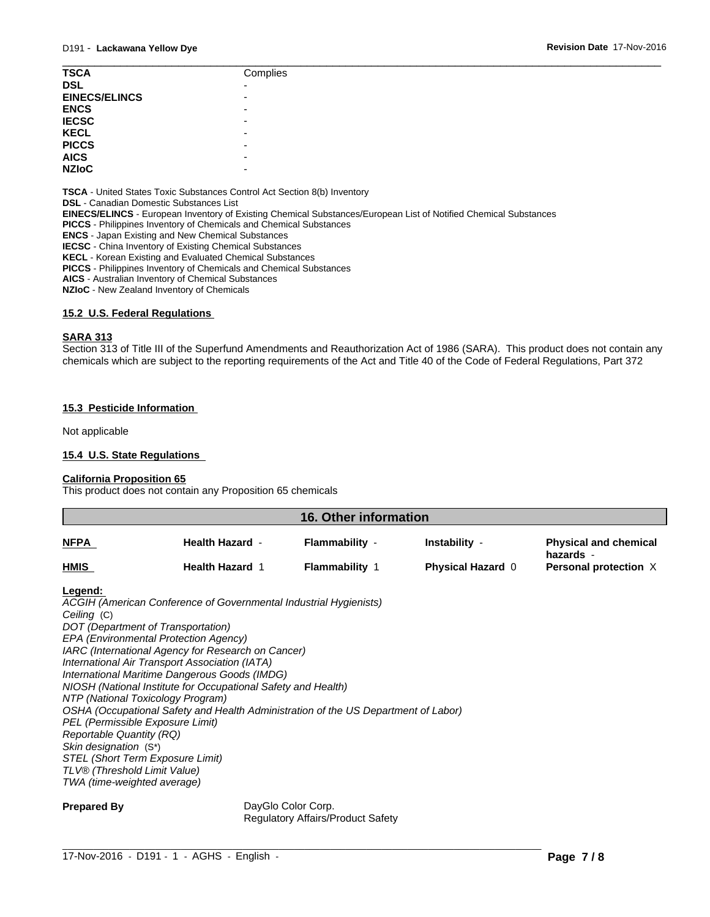| <b>TSCA</b>           | Complies                 |
|-----------------------|--------------------------|
| <b>DSL</b>            | -                        |
| <b>EINECS/ELINCS</b>  | -                        |
| <b>ENCS</b>           | -                        |
|                       | -                        |
| <b>IECSC<br/>KECL</b> | -                        |
|                       | -                        |
| PICCS<br>AICS         | $\overline{\phantom{0}}$ |
| <b>NZIoC</b>          | -                        |
|                       |                          |

**TSCA** - United States Toxic Substances Control Act Section 8(b) Inventory

**DSL** - Canadian Domestic Substances List

**EINECS/ELINCS** - European Inventory of Existing Chemical Substances/European List of Notified Chemical Substances

**PICCS** - Philippines Inventory of Chemicals and Chemical Substances

**ENCS** - Japan Existing and New Chemical Substances

**IECSC** - China Inventory of Existing Chemical Substances

**KECL** - Korean Existing and Evaluated Chemical Substances

**PICCS** - Philippines Inventory of Chemicals and Chemical Substances

**AICS** - Australian Inventory of Chemical Substances

**NZIoC** - New Zealand Inventory of Chemicals

#### **15.2 U.S. Federal Regulations**

# **SARA 313**

Section 313 of Title III of the Superfund Amendments and Reauthorization Act of 1986 (SARA). This product does not contain any chemicals which are subject to the reporting requirements of the Act and Title 40 of the Code of Federal Regulations, Part 372

#### **15.3 Pesticide Information**

Not applicable

## **15.4 U.S. State Regulations**

#### **California Proposition 65**

This product does not contain any Proposition 65 chemicals

| 16. Other information |                        |                       |                          |                                           |
|-----------------------|------------------------|-----------------------|--------------------------|-------------------------------------------|
| <b>NFPA</b>           | <b>Health Hazard -</b> | Flammability -        | Instability -            | <b>Physical and chemical</b><br>hazards - |
| <b>HMIS</b>           | <b>Health Hazard 1</b> | <b>Flammability 1</b> | <b>Physical Hazard 0</b> | Personal protection X                     |

#### **Legend:**

*ACGIH (American Conference of Governmental Industrial Hygienists) Ceiling* (C) *DOT (Department of Transportation) EPA (Environmental Protection Agency) IARC (International Agency for Research on Cancer) International Air Transport Association (IATA) International Maritime Dangerous Goods (IMDG) NIOSH (National Institute for Occupational Safety and Health) NTP (National Toxicology Program) OSHA (Occupational Safety and Health Administration of the US Department of Labor) PEL (Permissible Exposure Limit) Reportable Quantity (RQ) Skin designation* (S\*) *STEL (Short Term Exposure Limit) TLV® (Threshold Limit Value) TWA (time-weighted average)*

**Prepared By** DayGlo Color Corp. Regulatory Affairs/Product Safety